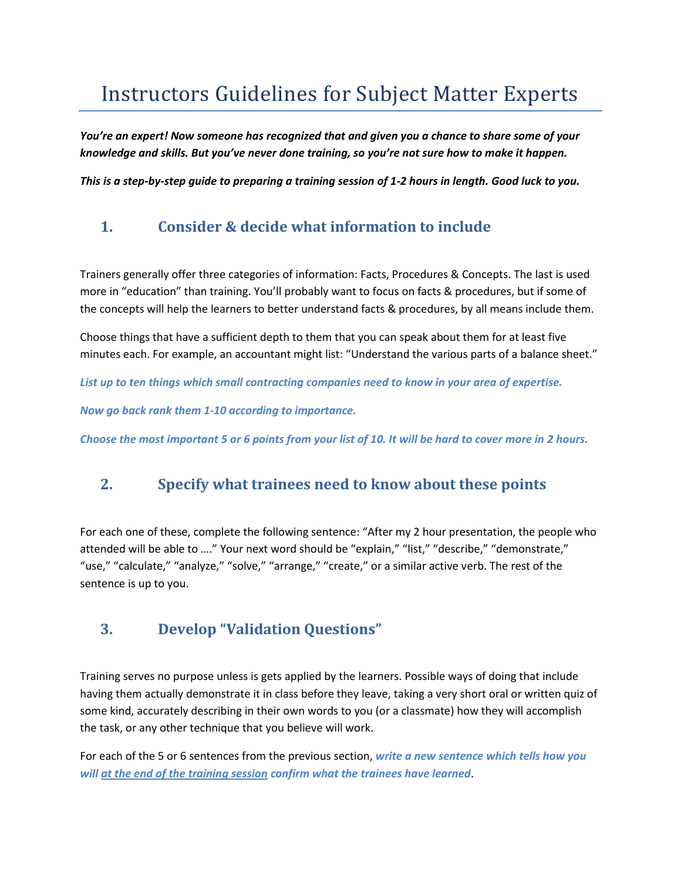# Instructors Guidelines for Subject Matter Experts

*You're an expert! Now someone has recognized that and given you a chance to share some of your knowledge and skills. But you've never done training, so you're not sure how to make it happen.* 

*This is a step-by-step guide to preparing a training session of 1-2 hours in length. Good luck to you.*

# **1. Consider & decide what information to include**

Trainers generally offer three categories of information: Facts, Procedures & Concepts. The last is used more in "education" than training. You'll probably want to focus on facts & procedures, but if some of the concepts will help the learners to better understand facts & procedures, by all means include them.

Choose things that have a sufficient depth to them that you can speak about them for at least five minutes each. For example, an accountant might list: "Understand the various parts of a balance sheet."

*List up to ten things which small contracting companies need to know in your area of expertise.*

*Now go back rank them 1-10 according to importance.* 

*Choose the most important 5 or 6 points from your list of 10. It will be hard to cover more in 2 hours.*

### **2. Specify what trainees need to know about these points**

For each one of these, complete the following sentence: "After my 2 hour presentation, the people who attended will be able to ...." Your next word should be "explain," "list," "describe," "demonstrate," "use," "calculate," "analyze," "solve," "arrange," "create," or a similar active verb. The rest of the sentence is up to you.

#### **3. Develop "Validation Questions"**

Training serves no purpose unless is gets applied by the learners. Possible ways of doing that include having them actually demonstrate it in class before they leave, taking a very short oral or written quiz of some kind, accurately describing in their own words to you (or a classmate) how they will accomplish the task, or any other technique that you believe will work.

For each of the 5 or 6 sentences from the previous section, *write a new sentence which tells how you will at the end of the training session confirm what the trainees have learned*.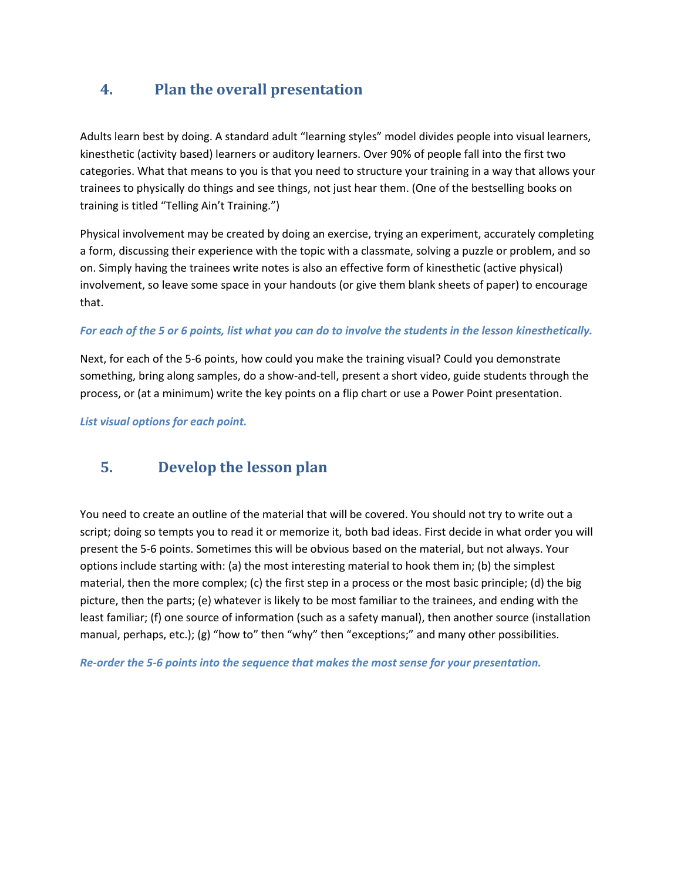# **4. Plan the overall presentation**

Adults learn best by doing. A standard adult "learning styles" model divides people into visual learners, kinesthetic (activity based) learners or auditory learners. Over 90% of people fall into the first two categories. What that means to you is that you need to structure your training in a way that allows your trainees to physically do things and see things, not just hear them. (One of the bestselling books on training is titled "Telling Ain't Training.")

Physical involvement may be created by doing an exercise, trying an experiment, accurately completing a form, discussing their experience with the topic with a classmate, solving a puzzle or problem, and so on. Simply having the trainees write notes is also an effective form of kinesthetic (active physical) involvement, so leave some space in your handouts (or give them blank sheets of paper) to encourage that.

#### *For each of the 5 or 6 points, list what you can do to involve the students in the lesson kinesthetically.*

Next, for each of the 5-6 points, how could you make the training visual? Could you demonstrate something, bring along samples, do a show-and-tell, present a short video, guide students through the process, or (at a minimum) write the key points on a flip chart or use a Power Point presentation.

*List visual options for each point.*

#### **5. Develop the lesson plan**

You need to create an outline of the material that will be covered. You should not try to write out a script; doing so tempts you to read it or memorize it, both bad ideas. First decide in what order you will present the 5-6 points. Sometimes this will be obvious based on the material, but not always. Your options include starting with: (a) the most interesting material to hook them in; (b) the simplest material, then the more complex; (c) the first step in a process or the most basic principle; (d) the big picture, then the parts; (e) whatever is likely to be most familiar to the trainees, and ending with the least familiar; (f) one source of information (such as a safety manual), then another source (installation manual, perhaps, etc.); (g) "how to" then "why" then "exceptions;" and many other possibilities.

*Re-order the 5-6 points into the sequence that makes the most sense for your presentation.*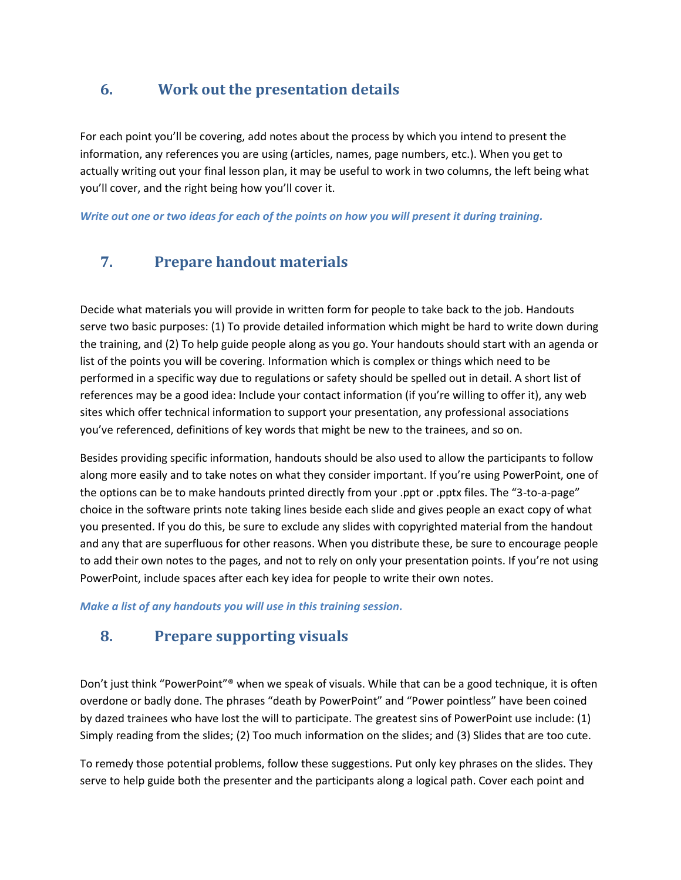#### **6. Work out the presentation details**

For each point you'll be covering, add notes about the process by which you intend to present the information, any references you are using (articles, names, page numbers, etc.). When you get to actually writing out your final lesson plan, it may be useful to work in two columns, the left being what you'll cover, and the right being how you'll cover it.

*Write out one or two ideas for each of the points on how you will present it during training.*

### **7. Prepare handout materials**

Decide what materials you will provide in written form for people to take back to the job. Handouts serve two basic purposes: (1) To provide detailed information which might be hard to write down during the training, and (2) To help guide people along as you go. Your handouts should start with an agenda or list of the points you will be covering. Information which is complex or things which need to be performed in a specific way due to regulations or safety should be spelled out in detail. A short list of references may be a good idea: Include your contact information (if you're willing to offer it), any web sites which offer technical information to support your presentation, any professional associations you've referenced, definitions of key words that might be new to the trainees, and so on.

Besides providing specific information, handouts should be also used to allow the participants to follow along more easily and to take notes on what they consider important. If you're using PowerPoint, one of the options can be to make handouts printed directly from your .ppt or .pptx files. The "3-to-a-page" choice in the software prints note taking lines beside each slide and gives people an exact copy of what you presented. If you do this, be sure to exclude any slides with copyrighted material from the handout and any that are superfluous for other reasons. When you distribute these, be sure to encourage people to add their own notes to the pages, and not to rely on only your presentation points. If you're not using PowerPoint, include spaces after each key idea for people to write their own notes.

*Make a list of any handouts you will use in this training session.*

#### **8. Prepare supporting visuals**

Don't just think "PowerPoint"® when we speak of visuals. While that can be a good technique, it is often overdone or badly done. The phrases "death by PowerPoint" and "Power pointless" have been coined by dazed trainees who have lost the will to participate. The greatest sins of PowerPoint use include: (1) Simply reading from the slides; (2) Too much information on the slides; and (3) Slides that are too cute.

To remedy those potential problems, follow these suggestions. Put only key phrases on the slides. They serve to help guide both the presenter and the participants along a logical path. Cover each point and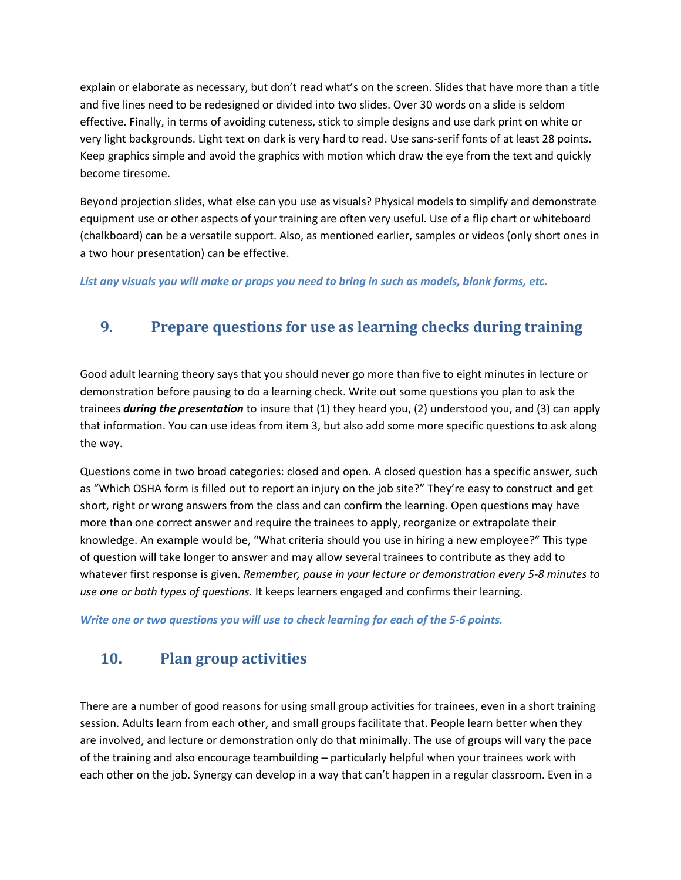explain or elaborate as necessary, but don't read what's on the screen. Slides that have more than a title and five lines need to be redesigned or divided into two slides. Over 30 words on a slide is seldom effective. Finally, in terms of avoiding cuteness, stick to simple designs and use dark print on white or very light backgrounds. Light text on dark is very hard to read. Use sans-serif fonts of at least 28 points. Keep graphics simple and avoid the graphics with motion which draw the eye from the text and quickly become tiresome.

Beyond projection slides, what else can you use as visuals? Physical models to simplify and demonstrate equipment use or other aspects of your training are often very useful. Use of a flip chart or whiteboard (chalkboard) can be a versatile support. Also, as mentioned earlier, samples or videos (only short ones in a two hour presentation) can be effective.

*List any visuals you will make or props you need to bring in such as models, blank forms, etc.*

# **9. Prepare questions for use as learning checks during training**

Good adult learning theory says that you should never go more than five to eight minutes in lecture or demonstration before pausing to do a learning check. Write out some questions you plan to ask the trainees *during the presentation* to insure that (1) they heard you, (2) understood you, and (3) can apply that information. You can use ideas from item 3, but also add some more specific questions to ask along the way.

Questions come in two broad categories: closed and open. A closed question has a specific answer, such as "Which OSHA form is filled out to report an injury on the job site?" They're easy to construct and get short, right or wrong answers from the class and can confirm the learning. Open questions may have more than one correct answer and require the trainees to apply, reorganize or extrapolate their knowledge. An example would be, "What criteria should you use in hiring a new employee?" This type of question will take longer to answer and may allow several trainees to contribute as they add to whatever first response is given. *Remember, pause in your lecture or demonstration every 5-8 minutes to use one or both types of questions.* It keeps learners engaged and confirms their learning.

*Write one or two questions you will use to check learning for each of the 5-6 points.*

# **10. Plan group activities**

There are a number of good reasons for using small group activities for trainees, even in a short training session. Adults learn from each other, and small groups facilitate that. People learn better when they are involved, and lecture or demonstration only do that minimally. The use of groups will vary the pace of the training and also encourage teambuilding – particularly helpful when your trainees work with each other on the job. Synergy can develop in a way that can't happen in a regular classroom. Even in a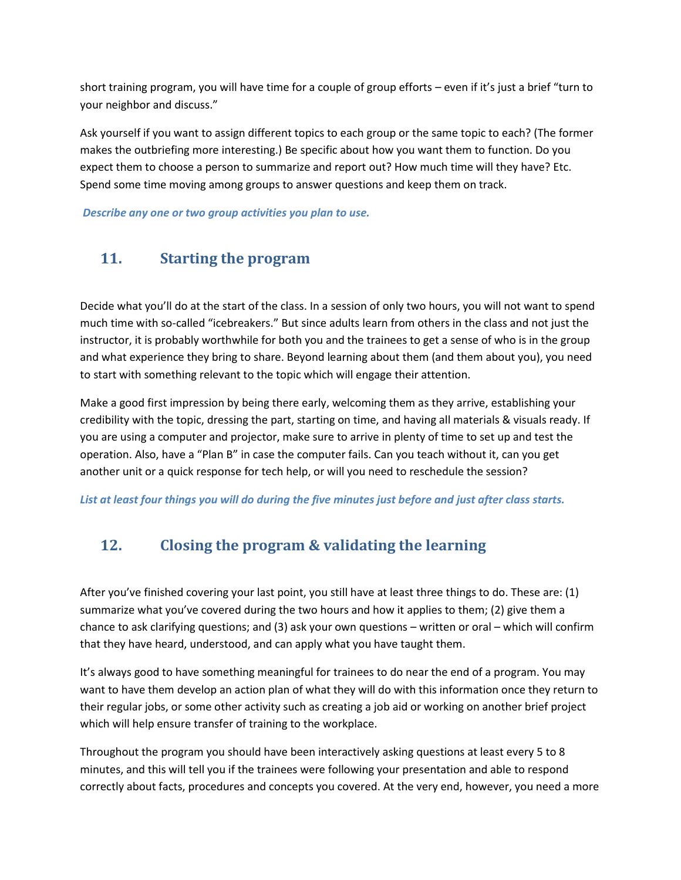short training program, you will have time for a couple of group efforts – even if it's just a brief "turn to your neighbor and discuss."

Ask yourself if you want to assign different topics to each group or the same topic to each? (The former makes the outbriefing more interesting.) Be specific about how you want them to function. Do you expect them to choose a person to summarize and report out? How much time will they have? Etc. Spend some time moving among groups to answer questions and keep them on track.

*Describe any one or two group activities you plan to use.*

# **11. Starting the program**

Decide what you'll do at the start of the class. In a session of only two hours, you will not want to spend much time with so-called "icebreakers." But since adults learn from others in the class and not just the instructor, it is probably worthwhile for both you and the trainees to get a sense of who is in the group and what experience they bring to share. Beyond learning about them (and them about you), you need to start with something relevant to the topic which will engage their attention.

Make a good first impression by being there early, welcoming them as they arrive, establishing your credibility with the topic, dressing the part, starting on time, and having all materials & visuals ready. If you are using a computer and projector, make sure to arrive in plenty of time to set up and test the operation. Also, have a "Plan B" in case the computer fails. Can you teach without it, can you get another unit or a quick response for tech help, or will you need to reschedule the session?

List at least four things you will do during the five minutes just before and just after class starts.

# **12. Closing the program & validating the learning**

After you've finished covering your last point, you still have at least three things to do. These are: (1) summarize what you've covered during the two hours and how it applies to them; (2) give them a chance to ask clarifying questions; and (3) ask your own questions – written or oral – which will confirm that they have heard, understood, and can apply what you have taught them.

It's always good to have something meaningful for trainees to do near the end of a program. You may want to have them develop an action plan of what they will do with this information once they return to their regular jobs, or some other activity such as creating a job aid or working on another brief project which will help ensure transfer of training to the workplace.

Throughout the program you should have been interactively asking questions at least every 5 to 8 minutes, and this will tell you if the trainees were following your presentation and able to respond correctly about facts, procedures and concepts you covered. At the very end, however, you need a more